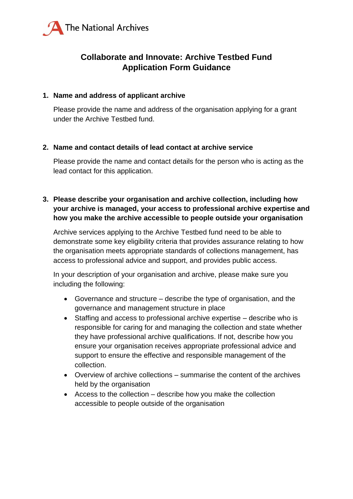

# **Collaborate and Innovate: Archive Testbed Fund Application Form Guidance**

### **1. Name and address of applicant archive**

Please provide the name and address of the organisation applying for a grant under the Archive Testbed fund.

### **2. Name and contact details of lead contact at archive service**

Please provide the name and contact details for the person who is acting as the lead contact for this application.

# **3. Please describe your organisation and archive collection, including how your archive is managed, your access to professional archive expertise and how you make the archive accessible to people outside your organisation**

Archive services applying to the Archive Testbed fund need to be able to demonstrate some key eligibility criteria that provides assurance relating to how the organisation meets appropriate standards of collections management, has access to professional advice and support, and provides public access.

In your description of your organisation and archive, please make sure you including the following:

- Governance and structure describe the type of organisation, and the governance and management structure in place
- Staffing and access to professional archive expertise describe who is responsible for caring for and managing the collection and state whether they have professional archive qualifications. If not, describe how you ensure your organisation receives appropriate professional advice and support to ensure the effective and responsible management of the collection.
- Overview of archive collections summarise the content of the archives held by the organisation
- Access to the collection describe how you make the collection accessible to people outside of the organisation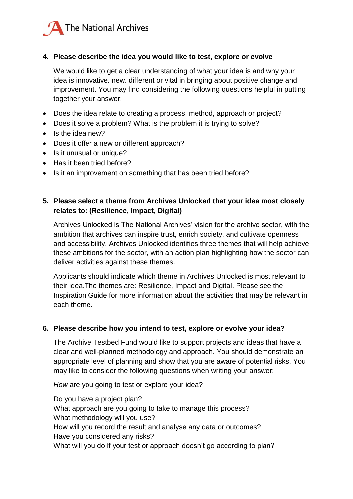

### **4. Please describe the idea you would like to test, explore or evolve**

We would like to get a clear understanding of what your idea is and why your idea is innovative, new, different or vital in bringing about positive change and improvement. You may find considering the following questions helpful in putting together your answer:

- Does the idea relate to creating a process, method, approach or project?
- Does it solve a problem? What is the problem it is trying to solve?
- $\bullet$  Is the idea new?
- Does it offer a new or different approach?
- Is it unusual or unique?
- Has it been tried before?
- Is it an improvement on something that has been tried before?

# **5. Please select a theme from Archives Unlocked that your idea most closely relates to: (Resilience, Impact, Digital)**

Archives Unlocked is The National Archives' vision for the archive sector, with the ambition that archives can inspire trust, enrich society, and cultivate openness and accessibility. Archives Unlocked identifies three themes that will help achieve these ambitions for the sector, with an action plan highlighting how the sector can deliver activities against these themes.

Applicants should indicate which theme in Archives Unlocked is most relevant to their idea.The themes are: Resilience, Impact and Digital. Please see the Inspiration Guide for more information about the activities that may be relevant in each theme.

#### **6. Please describe how you intend to test, explore or evolve your idea?**

The Archive Testbed Fund would like to support projects and ideas that have a clear and well-planned methodology and approach. You should demonstrate an appropriate level of planning and show that you are aware of potential risks. You may like to consider the following questions when writing your answer:

*How* are you going to test or explore your idea?

Do you have a project plan? What approach are you going to take to manage this process? What methodology will you use? How will you record the result and analyse any data or outcomes? Have you considered any risks? What will you do if your test or approach doesn't go according to plan?